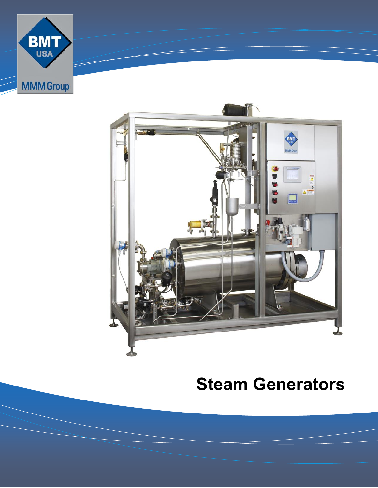



### **Steam Generators**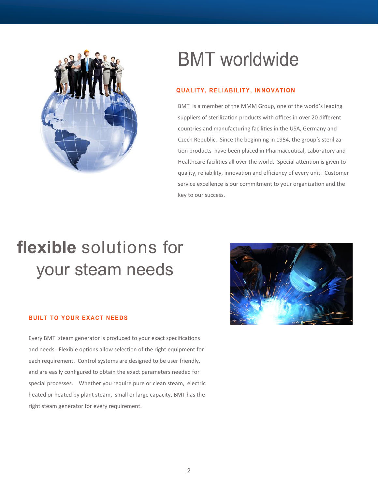

# **BMT** worldwide

#### **QUALITY, RELIABILITY, INNOVATION**

BMT is a member of the MMM Group, one of the world's leading suppliers of sterilization products with offices in over 20 different countries and manufacturing facilities in the USA, Germany and Czech Republic. Since the beginning in 1954, the group's sterilization products have been placed in Pharmaceutical, Laboratory and Healthcare facilities all over the world. Special attention is given to quality, reliability, innovation and efficiency of every unit. Customer service excellence is our commitment to your organization and the key to our success.

# **flexible** solutions for your steam needs

#### **BUILT TO YOUR EXACT NEEDS**

Every BMT steam generator is produced to your exact specifications and needs. Flexible options allow selection of the right equipment for each requirement. Control systems are designed to be user friendly, and are easily configured to obtain the exact parameters needed for special processes. Whether you require pure or clean steam, electric heated or heated by plant steam, small or large capacity, BMT has the right steam generator for every requirement.

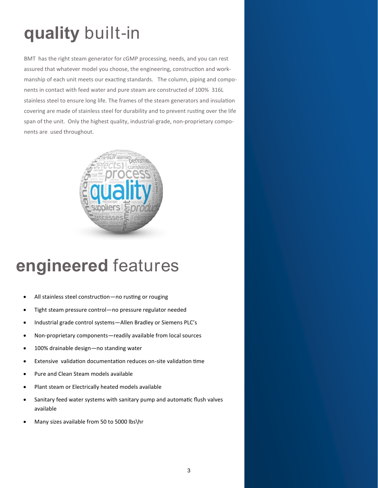# **quality** built-in

BMT has the right steam generator for cGMP processing, needs, and you can rest assured that whatever model you choose, the engineering, construction and workmanship of each unit meets our exacting standards. The column, piping and components in contact with feed water and pure steam are constructed of 100% 316L stainless steel to ensure long life. The frames of the steam generators and insulation covering are made of stainless steel for durability and to prevent rusting over the life span of the unit. Only the highest quality, industrial-grade, non-proprietary components are used throughout.



### **engineered** features

- All stainless steel construction—no rusting or rouging
- Tight steam pressure control—no pressure regulator needed
- Industrial grade control systems—Allen Bradley or Siemens PLC's
- Non-proprietary components—readily available from local sources
- 100% drainable design—no standing water
- Extensive validation documentation reduces on-site validation time
- Pure and Clean Steam models available
- Plant steam or Electrically heated models available
- Sanitary feed water systems with sanitary pump and automatic flush valves available
- Many sizes available from 50 to 5000 lbs\hr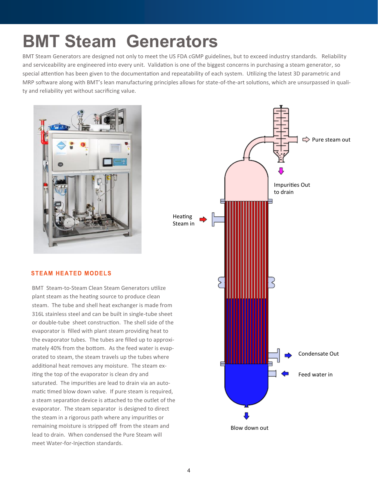# **BMT Steam Generators**

BMT Steam Generators are designed not only to meet the US FDA cGMP guidelines, but to exceed industry standards. Reliability and serviceability are engineered into every unit. Validation is one of the biggest concerns in purchasing a steam generator, so special attention has been given to the documentation and repeatability of each system. Utilizing the latest 3D parametric and MRP software along with BMT's lean manufacturing principles allows for state-of-the-art solutions, which are unsurpassed in quality and reliability yet without sacrificing value.





#### **STEAM HEATED MODELS**

BMT Steam-to-Steam Clean Steam Generators utilize plant steam as the heating source to produce clean steam. The tube and shell heat exchanger is made from 316L stainless steel and can be built in single-tube sheet or double-tube sheet construction. The shell side of the evaporator is filled with plant steam providing heat to the evaporator tubes. The tubes are filled up to approximately 40% from the bottom. As the feed water is evaporated to steam, the steam travels up the tubes where additional heat removes any moisture. The steam exiting the top of the evaporator is clean dry and saturated. The impurities are lead to drain via an automatic timed blow down valve. If pure steam is required, a steam separation device is attached to the outlet of the evaporator. The steam separator is designed to direct the steam in a rigorous path where any impurities or remaining moisture is stripped off from the steam and lead to drain. When condensed the Pure Steam will meet Water-for-Injection standards.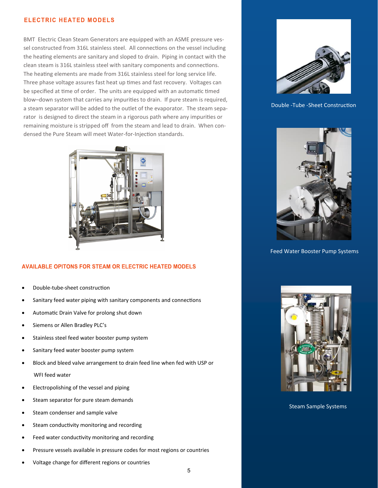#### **ELECTRIC HEATED MODELS**

BMT Electric Clean Steam Generators are equipped with an ASME pressure vessel constructed from 316L stainless steel. All connections on the vessel including the heating elements are sanitary and sloped to drain. Piping in contact with the clean steam is 316L stainless steel with sanitary components and connections. The heating elements are made from 316L stainless steel for long service life. Three phase voltage assures fast heat up times and fast recovery. Voltages can be specified at time of order. The units are equipped with an automatic timed blow–down system that carries any impurities to drain. If pure steam is required, a steam separator will be added to the outlet of the evaporator. The steam separator is designed to direct the steam in a rigorous path where any impurities or remaining moisture is stripped off from the steam and lead to drain. When condensed the Pure Steam will meet Water-for-Injection standards.



#### **AVAILABLE OPITONS FOR STEAM OR ELECTRIC HEATED MODELS**

- Double-tube-sheet construction
- Sanitary feed water piping with sanitary components and connections
- Automatic Drain Valve for prolong shut down
- Siemens or Allen Bradley PLC's
- Stainless steel feed water booster pump system
- Sanitary feed water booster pump system
- Block and bleed valve arrangement to drain feed line when fed with USP or

WFI feed water

- Electropolishing of the vessel and piping
- Steam separator for pure steam demands
- Steam condenser and sample valve
- Steam conductivity monitoring and recording
- Feed water conductivity monitoring and recording
- Pressure vessels available in pressure codes for most regions or countries
- Voltage change for different regions or countries



Double -Tube -Sheet Construction



Feed Water Booster Pump Systems



Steam Sample Systems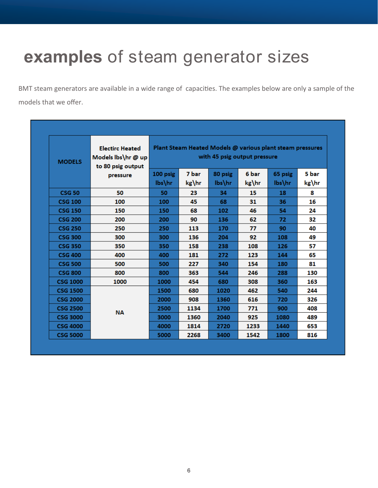### **examples** of steam generator sizes

BMT steam generators are available in a wide range of capacities. The examples below are only a sample of the models that we offer.

| <b>MODELS</b>   | <b>Electirc Heated</b><br>Models lbs\hr @ up<br>to 80 psig output<br>pressure | Plant Steam Heated Models @ various plant steam pressures<br>with 45 psig output pressure |                |                      |                |                   |                |
|-----------------|-------------------------------------------------------------------------------|-------------------------------------------------------------------------------------------|----------------|----------------------|----------------|-------------------|----------------|
|                 |                                                                               | 100 psig<br>lbs\hr                                                                        | 7 bar<br>kg\hr | 80 psig<br>$lbs\$ hr | 6 bar<br>kg\hr | 65 psig<br>lbs\hr | 5 bar<br>kg\hr |
| <b>CSG 50</b>   | 50                                                                            | 50                                                                                        | 23             | 34                   | 15             | 18                | 8              |
| <b>CSG 100</b>  | 100                                                                           | 100                                                                                       | 45             | 68                   | 31             | 36                | 16             |
| <b>CSG 150</b>  | 150                                                                           | 150                                                                                       | 68             | 102                  | 46             | 54                | 24             |
| <b>CSG 200</b>  | 200                                                                           | 200                                                                                       | 90             | 136                  | 62             | 72                | 32             |
| <b>CSG 250</b>  | 250                                                                           | 250                                                                                       | 113            | 170                  | 77             | 90                | 40             |
| <b>CSG 300</b>  | 300                                                                           | 300                                                                                       | 136            | 204                  | 92             | 108               | 49             |
| <b>CSG 350</b>  | 350                                                                           | 350                                                                                       | 158            | 238                  | 108            | 126               | 57             |
| <b>CSG 400</b>  | 400                                                                           | 400                                                                                       | 181            | 272                  | 123            | 144               | 65             |
| <b>CSG 500</b>  | 500                                                                           | 500                                                                                       | 227            | 340                  | 154            | 180               | 81             |
| <b>CSG 800</b>  | 800                                                                           | 800                                                                                       | 363            | 544                  | 246            | 288               | 130            |
| <b>CSG 1000</b> | 1000                                                                          | 1000                                                                                      | 454            | 680                  | 308            | 360               | 163            |
| <b>CSG 1500</b> | <b>NA</b>                                                                     | 1500                                                                                      | 680            | 1020                 | 462            | 540               | 244            |
| <b>CSG 2000</b> |                                                                               | 2000                                                                                      | 908            | 1360                 | 616            | 720               | 326            |
| <b>CSG 2500</b> |                                                                               | 2500                                                                                      | 1134           | 1700                 | 771            | 900               | 408            |
| <b>CSG 3000</b> |                                                                               | 3000                                                                                      | 1360           | 2040                 | 925            | 1080              | 489            |
| <b>CSG 4000</b> |                                                                               | 4000                                                                                      | 1814           | 2720                 | 1233           | 1440              | 653            |
| <b>CSG 5000</b> |                                                                               | 5000                                                                                      | 2268           | 3400                 | 1542           | 1800              | 816            |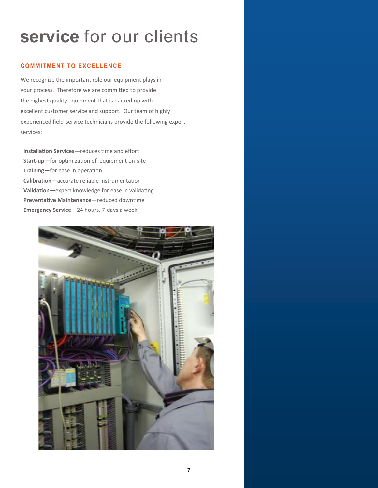### **service** for our clients

#### **COMMITMENT TO EXCELLENCE**

We recognize the important role our equipment plays in your process. Therefore we are committed to provide the highest quality equipment that is backed up with excellent customer service and support. Our team of highly experienced field-service technicians provide the following expert services:

**Installation Services—**reduces time and effort **Start-up—**for optimization of equipment on-site **Training—**for ease in operation **Calibration—**accurate reliable instrumentation **Validation—**expert knowledge for ease in validating **Preventative Maintenance**—reduced downtime **Emergency Service—**24 hours, 7-days a week